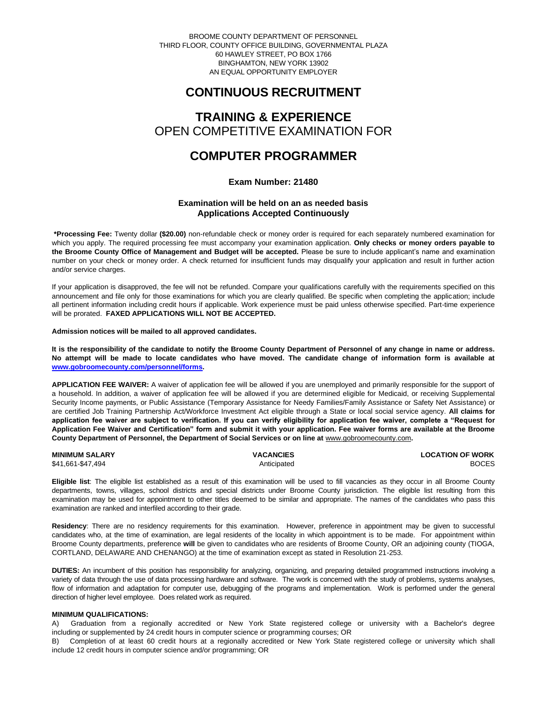BROOME COUNTY DEPARTMENT OF PERSONNEL THIRD FLOOR, COUNTY OFFICE BUILDING, GOVERNMENTAL PLAZA 60 HAWLEY STREET, PO BOX 1766 BINGHAMTON, NEW YORK 13902 AN EQUAL OPPORTUNITY EMPLOYER

# **CONTINUOUS RECRUITMENT**

# **TRAINING & EXPERIENCE** OPEN COMPETITIVE EXAMINATION FOR

# **COMPUTER PROGRAMMER**

# **Exam Number: 21480**

# **Examination will be held on an as needed basis Applications Accepted Continuously**

**\*Processing Fee:** Twenty dollar **(\$20.00)** non-refundable check or money order is required for each separately numbered examination for which you apply. The required processing fee must accompany your examination application. **Only checks or money orders payable to the Broome County Office of Management and Budget will be accepted.** Please be sure to include applicant's name and examination number on your check or money order. A check returned for insufficient funds may disqualify your application and result in further action and/or service charges.

If your application is disapproved, the fee will not be refunded. Compare your qualifications carefully with the requirements specified on this announcement and file only for those examinations for which you are clearly qualified. Be specific when completing the application; include all pertinent information including credit hours if applicable. Work experience must be paid unless otherwise specified. Part-time experience will be prorated. **FAXED APPLICATIONS WILL NOT BE ACCEPTED.** 

**Admission notices will be mailed to all approved candidates.** 

**It is the responsibility of the candidate to notify the Broome County Department of Personnel of any change in name or address. No attempt will be made to locate candidates who have moved. The candidate change of information form is available at [www.gobroomecounty.com/personnel/forms.](http://www.gobroomecounty.com/personnel/forms)** 

**APPLICATION FEE WAIVER:** A waiver of application fee will be allowed if you are unemployed and primarily responsible for the support of a household. In addition, a waiver of application fee will be allowed if you are determined eligible for Medicaid, or receiving Supplemental Security Income payments, or Public Assistance (Temporary Assistance for Needy Families/Family Assistance or Safety Net Assistance) or are certified Job Training Partnership Act/Workforce Investment Act eligible through a State or local social service agency. **All claims for application fee waiver are subject to verification. If you can verify eligibility for application fee waiver, complete a "Request for Application Fee Waiver and Certification" form and submit it with your application. Fee waiver forms are available at the Broome**  County Department of Personnel, the Department of Social Services or on line at www.gobroomecounty.com.

| <b>MINIMUM SALARY</b> | <b>VACANCIES</b> | <b>LOCATION OF WORK</b> |
|-----------------------|------------------|-------------------------|
| \$41,661-\$47,494     | Anticipated      | <b>BOCES</b>            |

**Eligible list**: The eligible list established as a result of this examination will be used to fill vacancies as they occur in all Broome County departments, towns, villages, school districts and special districts under Broome County jurisdiction. The eligible list resulting from this examination may be used for appointment to other titles deemed to be similar and appropriate. The names of the candidates who pass this examination are ranked and interfiled according to their grade.

**Residency**: There are no residency requirements for this examination. However, preference in appointment may be given to successful candidates who, at the time of examination, are legal residents of the locality in which appointment is to be made. For appointment within Broome County departments, preference **will** be given to candidates who are residents of Broome County, OR an adjoining county (TIOGA, CORTLAND, DELAWARE AND CHENANGO) at the time of examination except as stated in Resolution 21-253.

**DUTIES:** An incumbent of this position has responsibility for analyzing, organizing, and preparing detailed programmed instructions involving a variety of data through the use of data processing hardware and software. The work is concerned with the study of problems, systems analyses, flow of information and adaptation for computer use, debugging of the programs and implementation. Work is performed under the general direction of higher level employee. Does related work as required.

## **MINIMUM QUALIFICATIONS:**

A) Graduation from a regionally accredited or New York State registered college or university with a Bachelor's degree including or supplemented by 24 credit hours in computer science or programming courses; OR

B) Completion of at least 60 credit hours at a regionally accredited or New York State registered college or university which shall include 12 credit hours in computer science and/or programming; OR